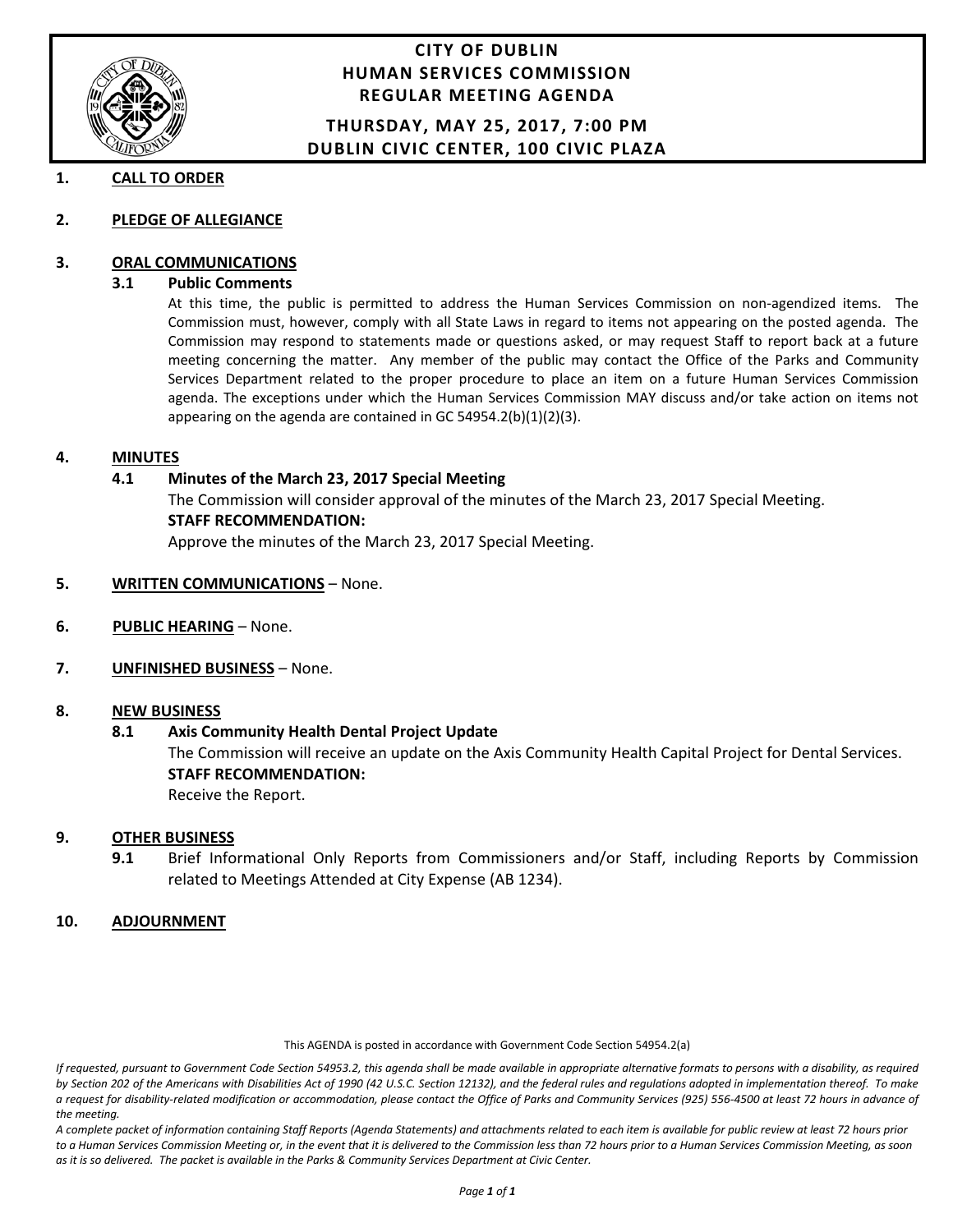

## **CITY OF DUBLIN HUMAN SERVICES COMMISSION REGULAR MEETING AGENDA**

#### **THURSDAY, MAY 25, 2017, 7:00 PM DUBLIN CIVIC CENTER, 100 CIVIC PLAZA**

#### **1. CALL TO ORDER**

**2. PLEDGE OF ALLEGIANCE**

#### **3. ORAL COMMUNICATIONS**

#### **3.1 Public Comments**

At this time, the public is permitted to address the Human Services Commission on non-agendized items. The Commission must, however, comply with all State Laws in regard to items not appearing on the posted agenda. The Commission may respond to statements made or questions asked, or may request Staff to report back at a future meeting concerning the matter. Any member of the public may contact the Office of the Parks and Community Services Department related to the proper procedure to place an item on a future Human Services Commission agenda. The exceptions under which the Human Services Commission MAY discuss and/or take action on items not appearing on the agenda are contained in GC 54954.2(b)(1)(2)(3).

#### **4. MINUTES**

#### **4.1 Minutes of the March 23, 2017 Special Meeting**

The Commission will consider approval of the minutes of the March 23, 2017 Special Meeting. **STAFF RECOMMENDATION:** 

Approve the minutes of the March 23, 2017 Special Meeting.

- **5. WRITTEN COMMUNICATIONS** None.
- **6. PUBLIC HEARING** None.

#### **7. UNFINISHED BUSINESS** – None.

#### **8. NEW BUSINESS**

#### **8.1 Axis Community Health Dental Project Update**

The Commission will receive an update on the Axis Community Health Capital Project for Dental Services. **STAFF RECOMMENDATION:**

Receive the Report.

#### **9. OTHER BUSINESS**

**9.1** Brief Informational Only Reports from Commissioners and/or Staff, including Reports by Commission related to Meetings Attended at City Expense (AB 1234).

#### **10. ADJOURNMENT**

#### This AGENDA is posted in accordance with Government Code Section 54954.2(a)

*If requested, pursuant to Government Code Section 54953.2, this agenda shall be made available in appropriate alternative formats to persons with a disability, as required by Section 202 of the Americans with Disabilities Act of 1990 (42 U.S.C. Section 12132), and the federal rules and regulations adopted in implementation thereof. To make a request for disability-related modification or accommodation, please contact the Office of Parks and Community Services (925) 556-4500 at least 72 hours in advance of the meeting.*

*A complete packet of information containing Staff Reports (Agenda Statements) and attachments related to each item is available for public review at least 72 hours prior to a Human Services Commission Meeting or, in the event that it is delivered to the Commission less than 72 hours prior to a Human Services Commission Meeting, as soon as it is so delivered. The packet is available in the Parks & Community Services Department at Civic Center.*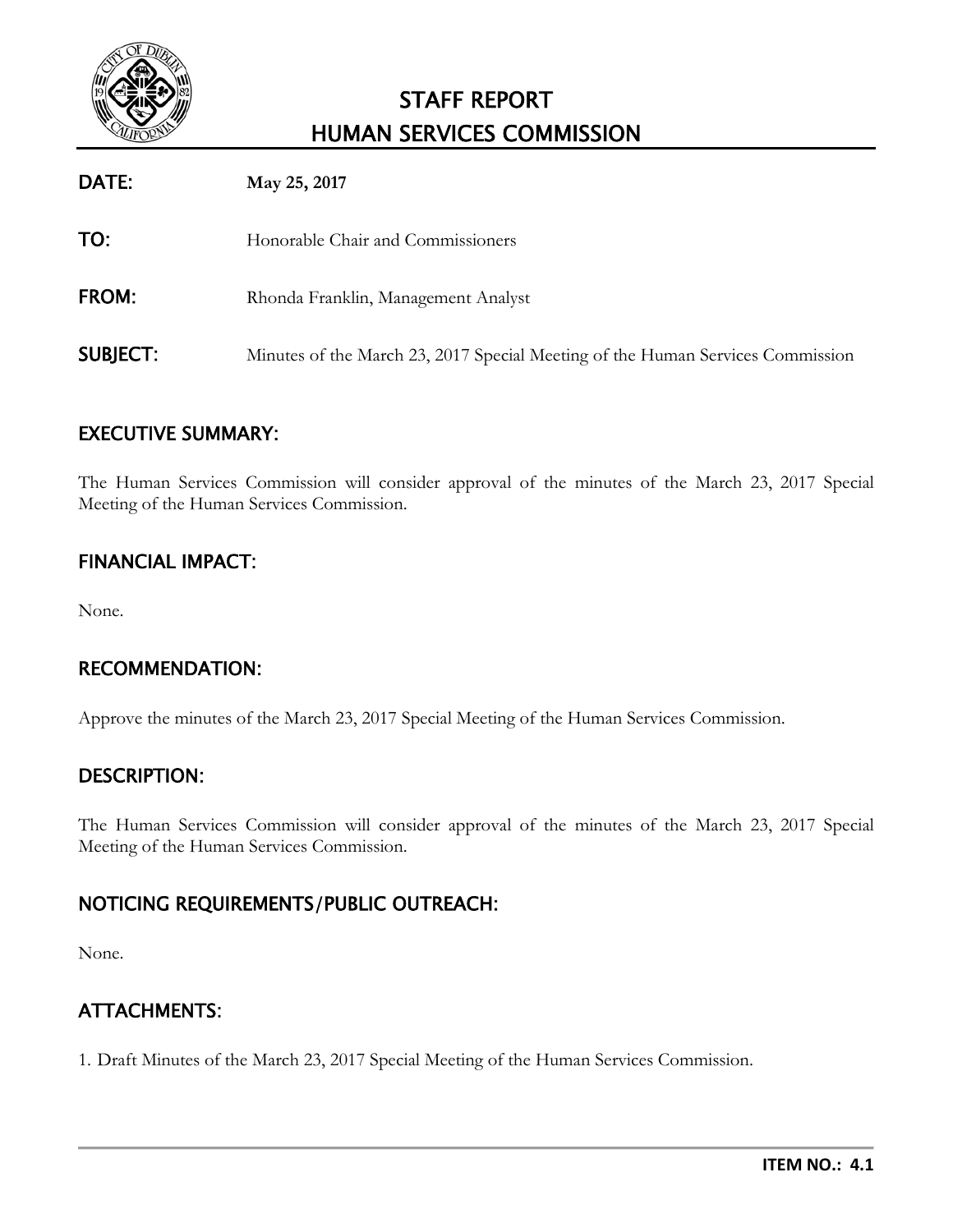

# STAFF REPORT HUMAN SERVICES COMMISSION

| DATE:           | May 25, 2017                                                                   |
|-----------------|--------------------------------------------------------------------------------|
| TO:             | Honorable Chair and Commissioners                                              |
| <b>FROM:</b>    | Rhonda Franklin, Management Analyst                                            |
| <b>SUBJECT:</b> | Minutes of the March 23, 2017 Special Meeting of the Human Services Commission |

# EXECUTIVE SUMMARY:

The Human Services Commission will consider approval of the minutes of the March 23, 2017 Special Meeting of the Human Services Commission.

# FINANCIAL IMPACT:

None.

# RECOMMENDATION:

Approve the minutes of the March 23, 2017 Special Meeting of the Human Services Commission.

# DESCRIPTION:

The Human Services Commission will consider approval of the minutes of the March 23, 2017 Special Meeting of the Human Services Commission.

# NOTICING REQUIREMENTS/PUBLIC OUTREACH:

None.

# ATTACHMENTS:

1. Draft Minutes of the March 23, 2017 Special Meeting of the Human Services Commission.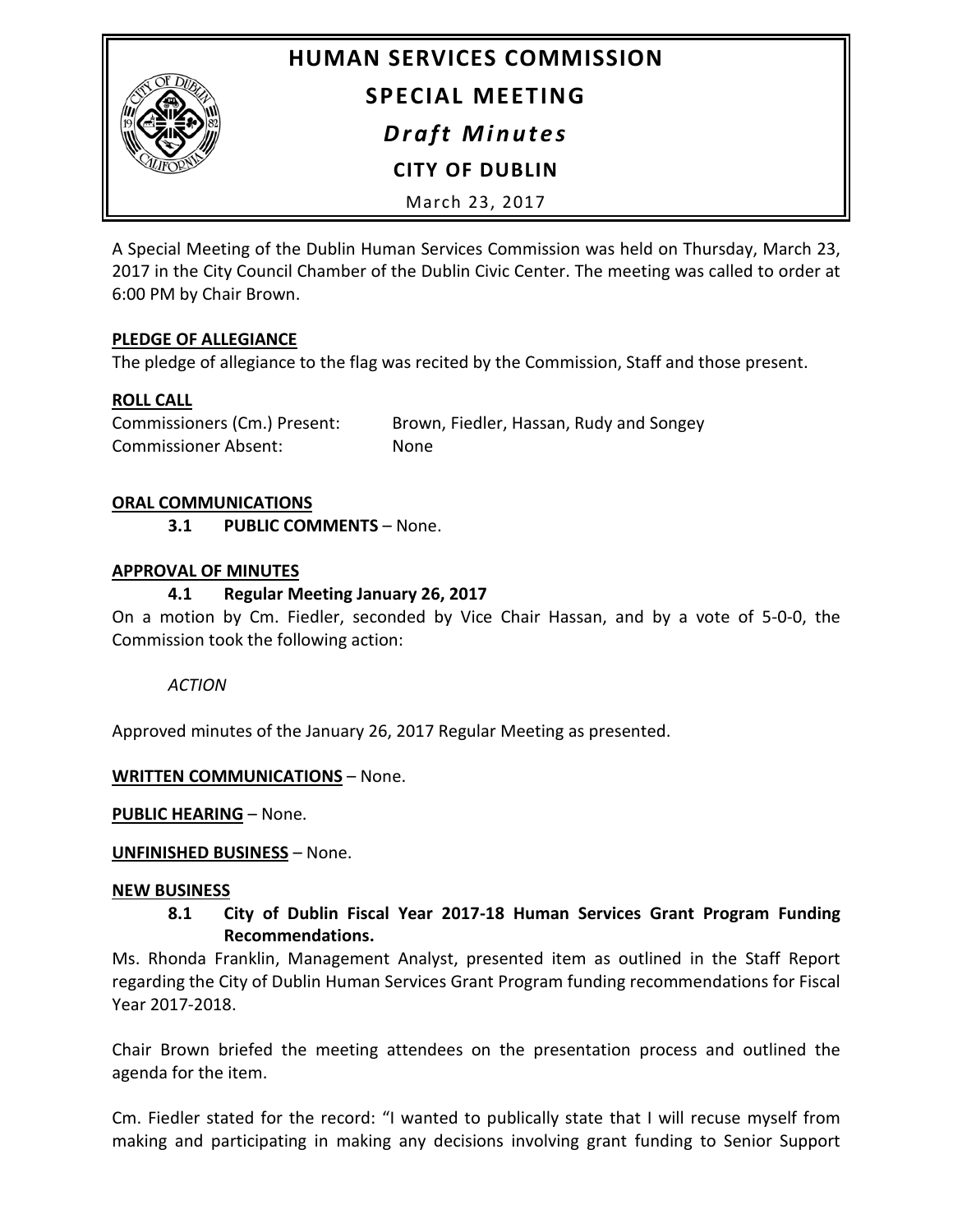

# **HUMAN SERVICES COMMISSION SPECIAL MEETING**

*Draft Minutes*

**CITY OF DUBLIN**

March 23, 2017

A Special Meeting of the Dublin Human Services Commission was held on Thursday, March 23, 2017 in the City Council Chamber of the Dublin Civic Center. The meeting was called to order at 6:00 PM by Chair Brown.

## **PLEDGE OF ALLEGIANCE**

The pledge of allegiance to the flag was recited by the Commission, Staff and those present.

## **ROLL CALL**

Commissioners (Cm.) Present: Brown, Fiedler, Hassan, Rudy and Songey Commissioner Absent: None

#### **ORAL COMMUNICATIONS**

**3.1 PUBLIC COMMENTS** – None.

#### **APPROVAL OF MINUTES**

## **4.1 Regular Meeting January 26, 2017**

On a motion by Cm. Fiedler, seconded by Vice Chair Hassan, and by a vote of 5-0-0, the Commission took the following action:

*ACTION*

Approved minutes of the January 26, 2017 Regular Meeting as presented.

#### **WRITTEN COMMUNICATIONS** – None.

**PUBLIC HEARING** – None.

#### **UNFINISHED BUSINESS** – None.

#### **NEW BUSINESS**

#### **8.1 City of Dublin Fiscal Year 2017-18 Human Services Grant Program Funding Recommendations.**

Ms. Rhonda Franklin, Management Analyst, presented item as outlined in the Staff Report regarding the City of Dublin Human Services Grant Program funding recommendations for Fiscal Year 2017-2018.

Chair Brown briefed the meeting attendees on the presentation process and outlined the agenda for the item.

Cm. Fiedler stated for the record: "I wanted to publically state that I will recuse myself from making and participating in making any decisions involving grant funding to Senior Support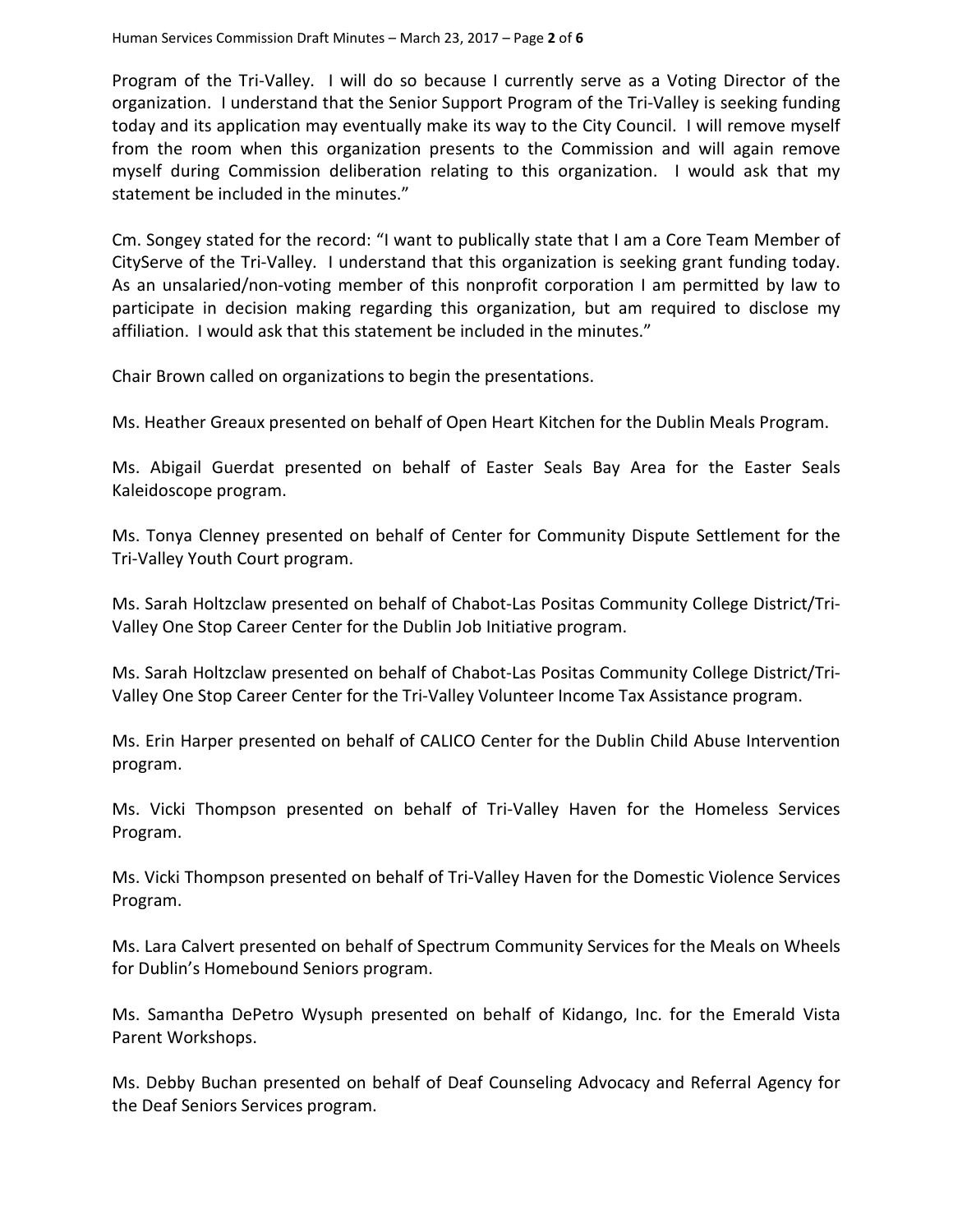Program of the Tri-Valley. I will do so because I currently serve as a Voting Director of the organization. I understand that the Senior Support Program of the Tri-Valley is seeking funding today and its application may eventually make its way to the City Council. I will remove myself from the room when this organization presents to the Commission and will again remove myself during Commission deliberation relating to this organization. I would ask that my statement be included in the minutes."

Cm. Songey stated for the record: "I want to publically state that I am a Core Team Member of CityServe of the Tri-Valley. I understand that this organization is seeking grant funding today. As an unsalaried/non-voting member of this nonprofit corporation I am permitted by law to participate in decision making regarding this organization, but am required to disclose my affiliation. I would ask that this statement be included in the minutes."

Chair Brown called on organizations to begin the presentations.

Ms. Heather Greaux presented on behalf of Open Heart Kitchen for the Dublin Meals Program.

Ms. Abigail Guerdat presented on behalf of Easter Seals Bay Area for the Easter Seals Kaleidoscope program.

Ms. Tonya Clenney presented on behalf of Center for Community Dispute Settlement for the Tri-Valley Youth Court program.

Ms. Sarah Holtzclaw presented on behalf of Chabot-Las Positas Community College District/Tri-Valley One Stop Career Center for the Dublin Job Initiative program.

Ms. Sarah Holtzclaw presented on behalf of Chabot-Las Positas Community College District/Tri-Valley One Stop Career Center for the Tri-Valley Volunteer Income Tax Assistance program.

Ms. Erin Harper presented on behalf of CALICO Center for the Dublin Child Abuse Intervention program.

Ms. Vicki Thompson presented on behalf of Tri-Valley Haven for the Homeless Services Program.

Ms. Vicki Thompson presented on behalf of Tri-Valley Haven for the Domestic Violence Services Program.

Ms. Lara Calvert presented on behalf of Spectrum Community Services for the Meals on Wheels for Dublin's Homebound Seniors program.

Ms. Samantha DePetro Wysuph presented on behalf of Kidango, Inc. for the Emerald Vista Parent Workshops.

Ms. Debby Buchan presented on behalf of Deaf Counseling Advocacy and Referral Agency for the Deaf Seniors Services program.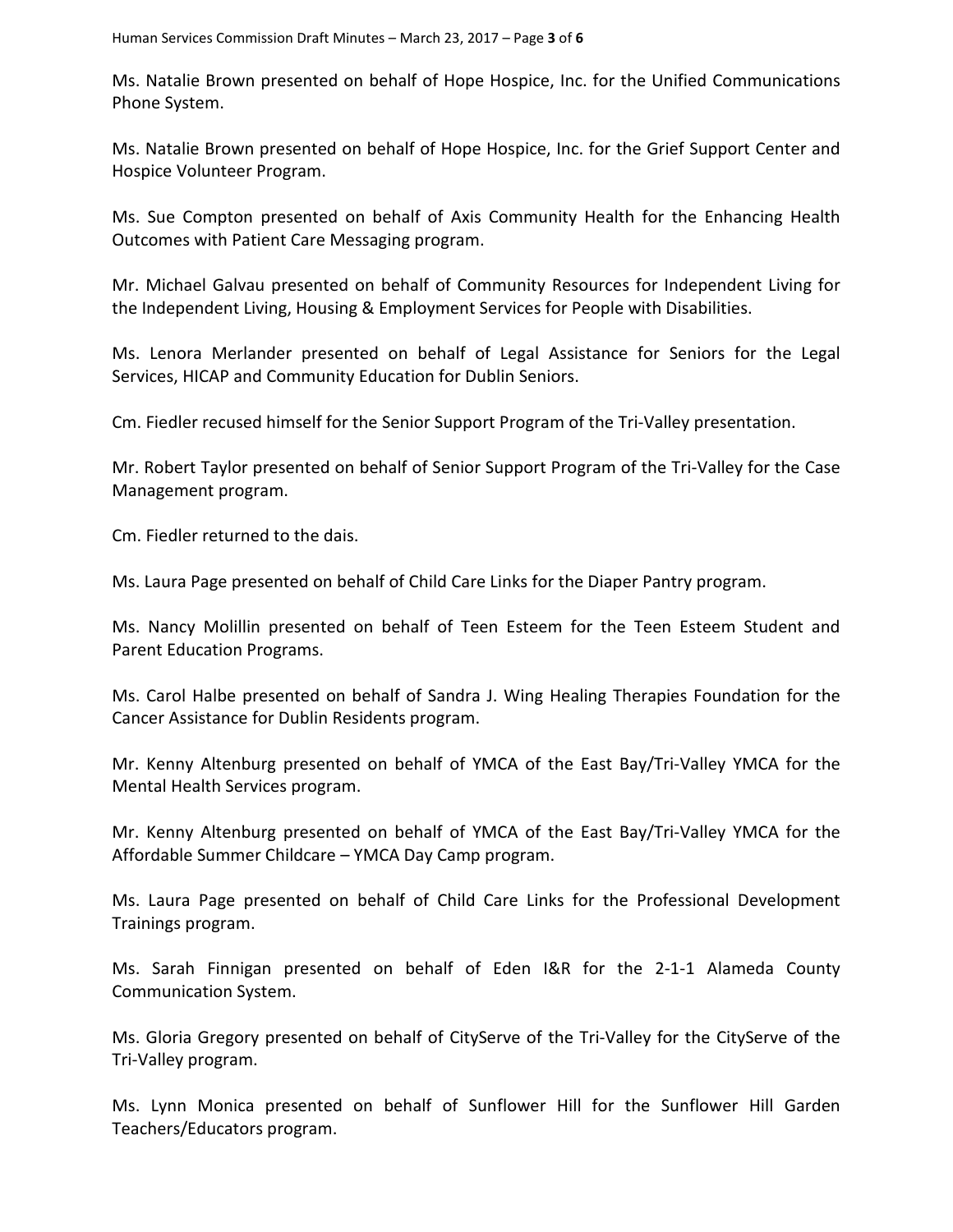Ms. Natalie Brown presented on behalf of Hope Hospice, Inc. for the Unified Communications Phone System.

Ms. Natalie Brown presented on behalf of Hope Hospice, Inc. for the Grief Support Center and Hospice Volunteer Program.

Ms. Sue Compton presented on behalf of Axis Community Health for the Enhancing Health Outcomes with Patient Care Messaging program.

Mr. Michael Galvau presented on behalf of Community Resources for Independent Living for the Independent Living, Housing & Employment Services for People with Disabilities.

Ms. Lenora Merlander presented on behalf of Legal Assistance for Seniors for the Legal Services, HICAP and Community Education for Dublin Seniors.

Cm. Fiedler recused himself for the Senior Support Program of the Tri-Valley presentation.

Mr. Robert Taylor presented on behalf of Senior Support Program of the Tri-Valley for the Case Management program.

Cm. Fiedler returned to the dais.

Ms. Laura Page presented on behalf of Child Care Links for the Diaper Pantry program.

Ms. Nancy Molillin presented on behalf of Teen Esteem for the Teen Esteem Student and Parent Education Programs.

Ms. Carol Halbe presented on behalf of Sandra J. Wing Healing Therapies Foundation for the Cancer Assistance for Dublin Residents program.

Mr. Kenny Altenburg presented on behalf of YMCA of the East Bay/Tri-Valley YMCA for the Mental Health Services program.

Mr. Kenny Altenburg presented on behalf of YMCA of the East Bay/Tri-Valley YMCA for the Affordable Summer Childcare – YMCA Day Camp program.

Ms. Laura Page presented on behalf of Child Care Links for the Professional Development Trainings program.

Ms. Sarah Finnigan presented on behalf of Eden I&R for the 2-1-1 Alameda County Communication System.

Ms. Gloria Gregory presented on behalf of CityServe of the Tri-Valley for the CityServe of the Tri-Valley program.

Ms. Lynn Monica presented on behalf of Sunflower Hill for the Sunflower Hill Garden Teachers/Educators program.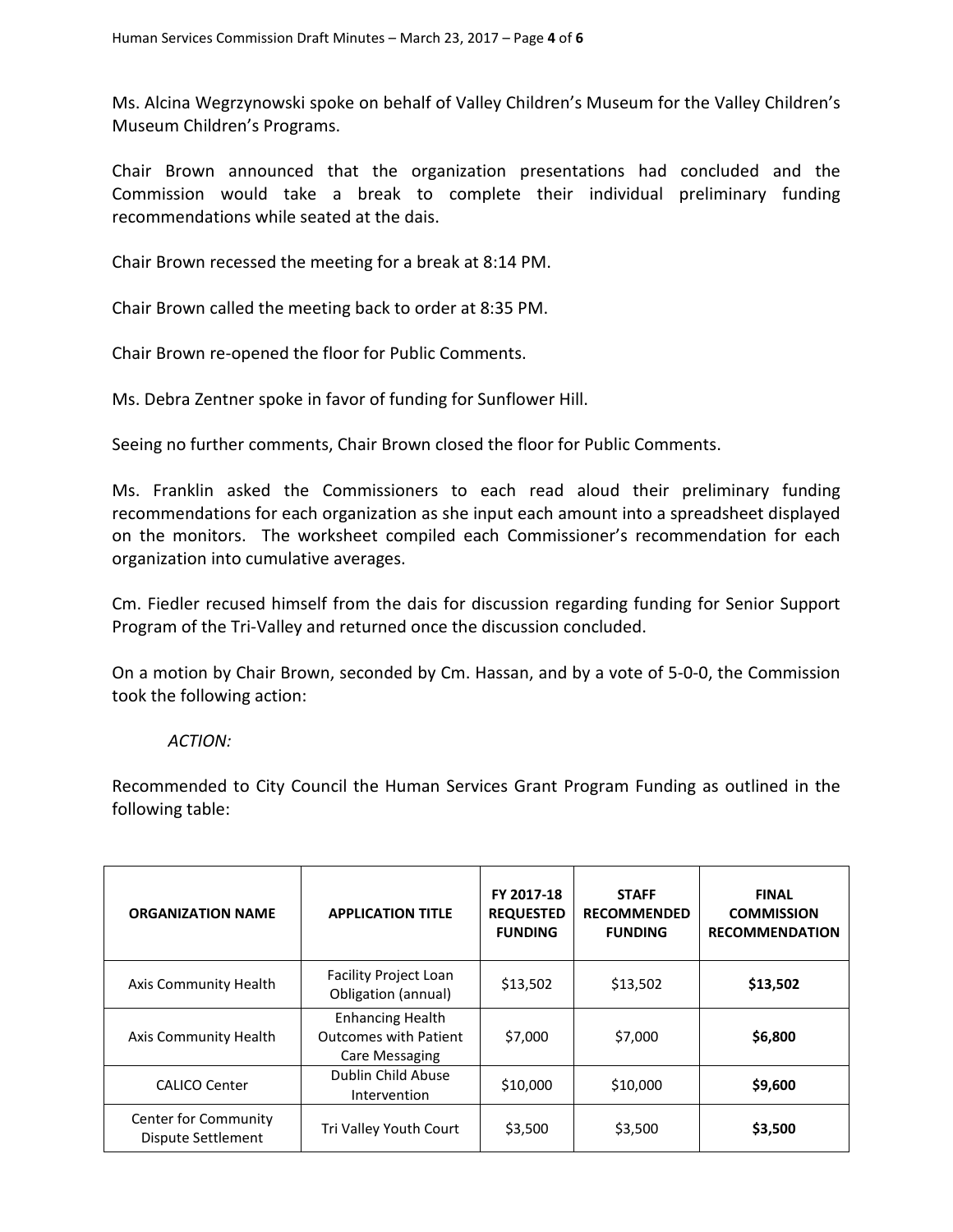Ms. Alcina Wegrzynowski spoke on behalf of Valley Children's Museum for the Valley Children's Museum Children's Programs.

Chair Brown announced that the organization presentations had concluded and the Commission would take a break to complete their individual preliminary funding recommendations while seated at the dais.

Chair Brown recessed the meeting for a break at 8:14 PM.

Chair Brown called the meeting back to order at 8:35 PM.

Chair Brown re-opened the floor for Public Comments.

Ms. Debra Zentner spoke in favor of funding for Sunflower Hill.

Seeing no further comments, Chair Brown closed the floor for Public Comments.

Ms. Franklin asked the Commissioners to each read aloud their preliminary funding recommendations for each organization as she input each amount into a spreadsheet displayed on the monitors. The worksheet compiled each Commissioner's recommendation for each organization into cumulative averages.

Cm. Fiedler recused himself from the dais for discussion regarding funding for Senior Support Program of the Tri-Valley and returned once the discussion concluded.

On a motion by Chair Brown, seconded by Cm. Hassan, and by a vote of 5-0-0, the Commission took the following action:

#### *ACTION:*

Recommended to City Council the Human Services Grant Program Funding as outlined in the following table:

| <b>ORGANIZATION NAME</b>                   | <b>APPLICATION TITLE</b>                                                  | FY 2017-18<br><b>REQUESTED</b><br><b>FUNDING</b> | <b>STAFF</b><br><b>RECOMMENDED</b><br><b>FUNDING</b> | <b>FINAL</b><br><b>COMMISSION</b><br><b>RECOMMENDATION</b> |
|--------------------------------------------|---------------------------------------------------------------------------|--------------------------------------------------|------------------------------------------------------|------------------------------------------------------------|
| Axis Community Health                      | Facility Project Loan<br>Obligation (annual)                              | \$13,502                                         | \$13,502                                             | \$13,502                                                   |
| Axis Community Health                      | <b>Enhancing Health</b><br><b>Outcomes with Patient</b><br>Care Messaging | \$7,000                                          | \$7,000                                              | \$6,800                                                    |
| <b>CALICO Center</b>                       | Dublin Child Abuse<br>Intervention                                        | \$10,000                                         | \$10,000                                             | \$9,600                                                    |
| Center for Community<br>Dispute Settlement | Tri Valley Youth Court                                                    | \$3,500                                          | \$3,500                                              | \$3,500                                                    |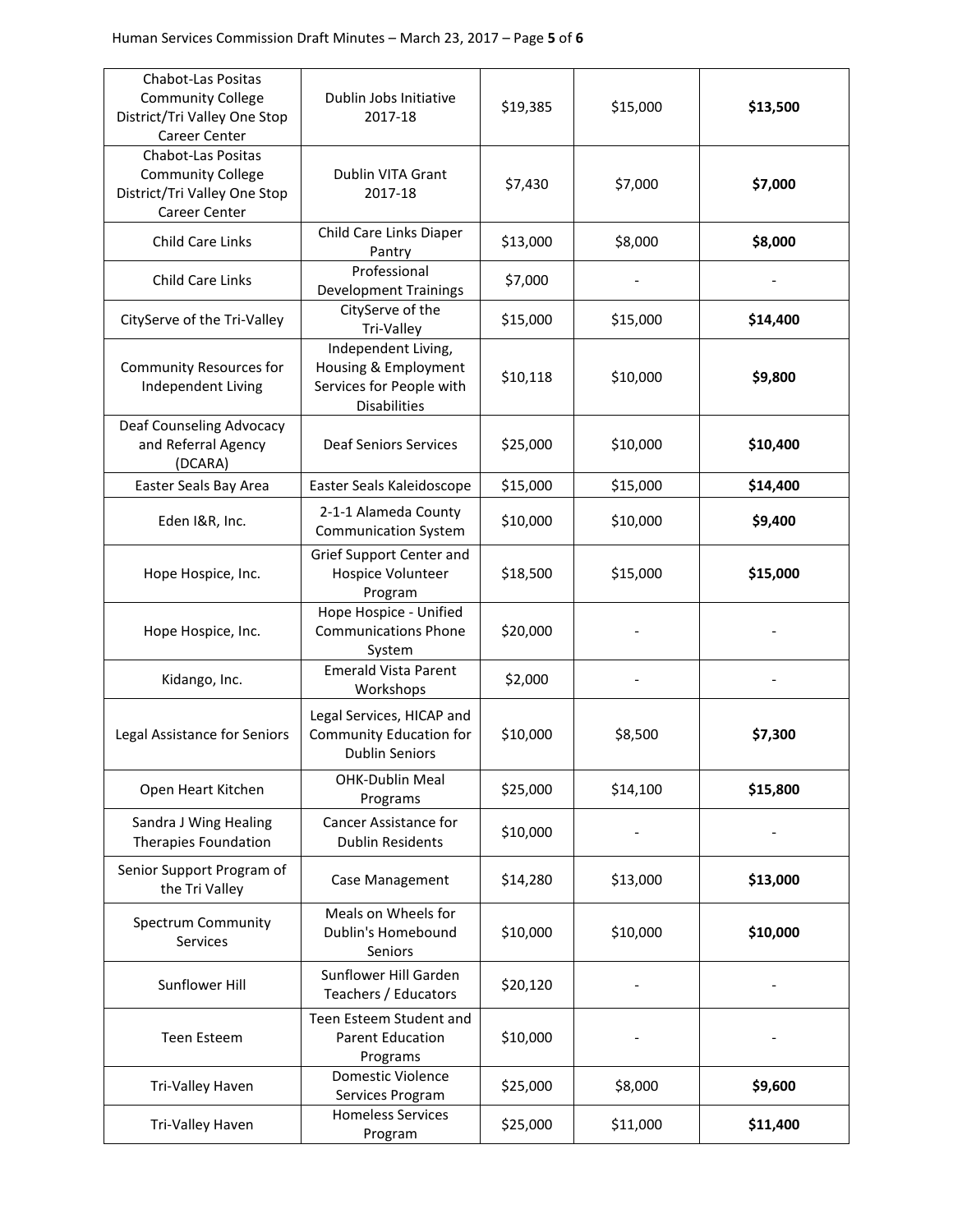| Chabot-Las Positas<br><b>Community College</b><br>District/Tri Valley One Stop<br>Career Center        | Dublin Jobs Initiative<br>2017-18                                                              | \$19,385 | \$15,000 | \$13,500 |
|--------------------------------------------------------------------------------------------------------|------------------------------------------------------------------------------------------------|----------|----------|----------|
| <b>Chabot-Las Positas</b><br><b>Community College</b><br>District/Tri Valley One Stop<br>Career Center | Dublin VITA Grant<br>2017-18                                                                   | \$7,430  | \$7,000  | \$7,000  |
| <b>Child Care Links</b>                                                                                | Child Care Links Diaper<br>Pantry                                                              | \$13,000 | \$8,000  | \$8,000  |
| Child Care Links                                                                                       | Professional<br><b>Development Trainings</b>                                                   | \$7,000  |          |          |
| CityServe of the Tri-Valley                                                                            | CityServe of the<br>Tri-Valley                                                                 | \$15,000 | \$15,000 | \$14,400 |
| <b>Community Resources for</b><br>Independent Living                                                   | Independent Living,<br>Housing & Employment<br>Services for People with<br><b>Disabilities</b> | \$10,118 | \$10,000 | \$9,800  |
| Deaf Counseling Advocacy<br>and Referral Agency<br>(DCARA)                                             | <b>Deaf Seniors Services</b>                                                                   | \$25,000 | \$10,000 | \$10,400 |
| Easter Seals Bay Area                                                                                  | Easter Seals Kaleidoscope                                                                      | \$15,000 | \$15,000 | \$14,400 |
| Eden I&R, Inc.                                                                                         | 2-1-1 Alameda County<br><b>Communication System</b>                                            | \$10,000 | \$10,000 | \$9,400  |
| Hope Hospice, Inc.                                                                                     | Grief Support Center and<br>Hospice Volunteer<br>Program                                       | \$18,500 | \$15,000 | \$15,000 |
| Hope Hospice, Inc.                                                                                     | Hope Hospice - Unified<br><b>Communications Phone</b><br>System                                | \$20,000 |          |          |
| Kidango, Inc.                                                                                          | <b>Emerald Vista Parent</b><br>Workshops                                                       | \$2,000  |          |          |
| Legal Assistance for Seniors                                                                           | Legal Services, HICAP and<br>Community Education for<br><b>Dublin Seniors</b>                  | \$10,000 | \$8,500  | \$7,300  |
| Open Heart Kitchen                                                                                     | OHK-Dublin Meal<br>Programs                                                                    | \$25,000 | \$14,100 | \$15,800 |
| Sandra J Wing Healing<br>Therapies Foundation                                                          | <b>Cancer Assistance for</b><br><b>Dublin Residents</b>                                        | \$10,000 |          |          |
| Senior Support Program of<br>the Tri Valley                                                            | Case Management                                                                                | \$14,280 | \$13,000 | \$13,000 |
| Spectrum Community<br>Services                                                                         | Meals on Wheels for<br>Dublin's Homebound<br>Seniors                                           | \$10,000 | \$10,000 | \$10,000 |
| Sunflower Hill                                                                                         | Sunflower Hill Garden<br>Teachers / Educators                                                  | \$20,120 |          |          |
| Teen Esteem                                                                                            | Teen Esteem Student and<br><b>Parent Education</b><br>Programs                                 | \$10,000 |          |          |
| Tri-Valley Haven                                                                                       | Domestic Violence<br>Services Program                                                          | \$25,000 | \$8,000  | \$9,600  |
| Tri-Valley Haven                                                                                       | <b>Homeless Services</b><br>Program                                                            | \$25,000 | \$11,000 | \$11,400 |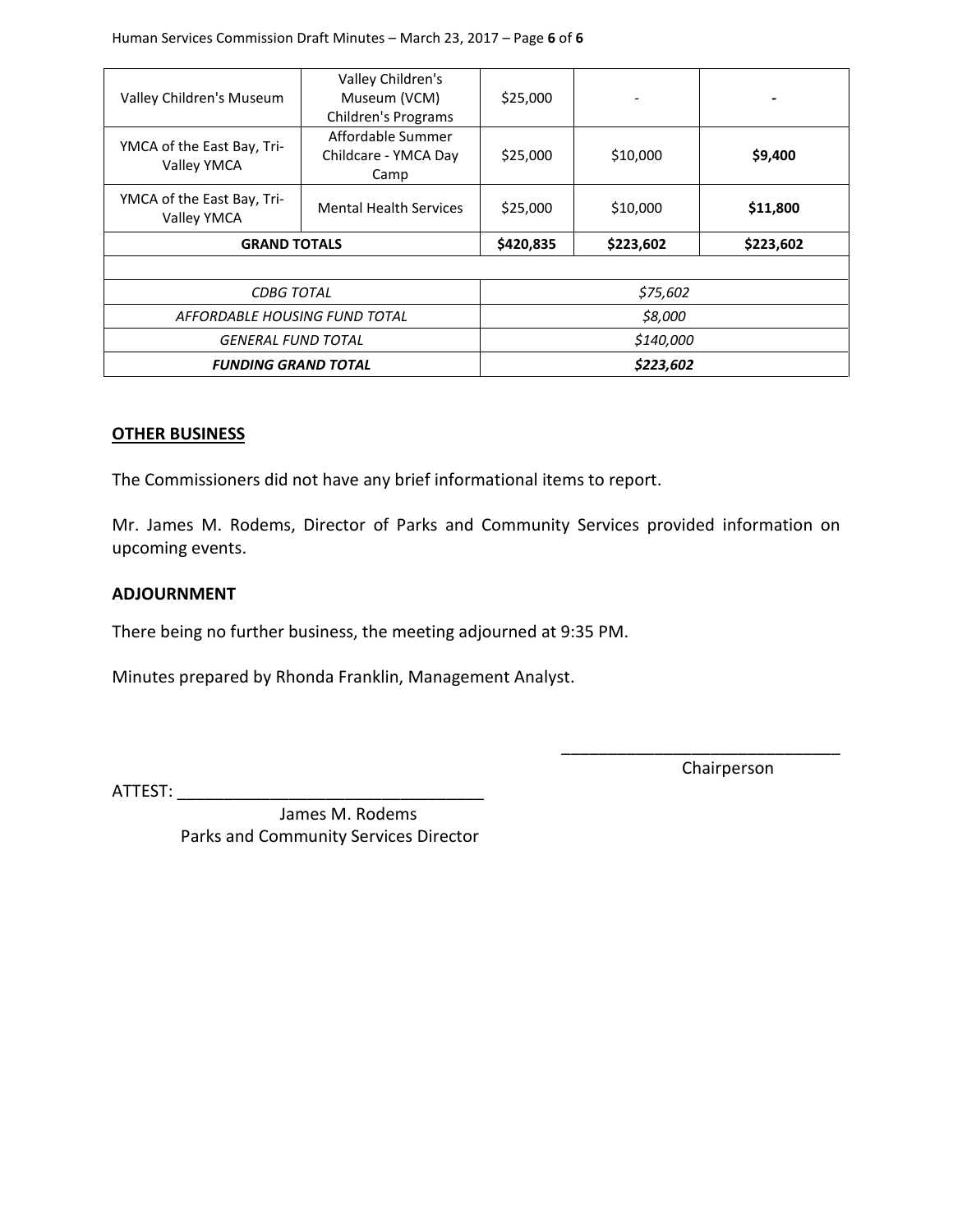| Valley Children's Museum                  | Valley Children's<br>Museum (VCM)<br><b>Children's Programs</b> | \$25,000  | ۰         |          |
|-------------------------------------------|-----------------------------------------------------------------|-----------|-----------|----------|
| YMCA of the East Bay, Tri-<br>Valley YMCA | Affordable Summer<br>Childcare - YMCA Day<br>Camp               | \$25,000  | \$10,000  | \$9,400  |
| YMCA of the East Bay, Tri-<br>Valley YMCA | <b>Mental Health Services</b>                                   | \$25,000  | \$10,000  | \$11,800 |
| <b>GRAND TOTALS</b>                       | \$420,835                                                       | \$223,602 | \$223,602 |          |
|                                           |                                                                 |           |           |          |
| <b>CDBG TOTAL</b>                         |                                                                 |           | \$75,602  |          |
| AFFORDABLE HOUSING FUND TOTAL             |                                                                 | \$8,000   |           |          |
| <b>GENERAL FUND TOTAL</b>                 |                                                                 | \$140,000 |           |          |
| <b>FUNDING GRAND TOTAL</b>                |                                                                 | \$223,602 |           |          |

#### **OTHER BUSINESS**

The Commissioners did not have any brief informational items to report.

Mr. James M. Rodems, Director of Parks and Community Services provided information on upcoming events.

#### **ADJOURNMENT**

There being no further business, the meeting adjourned at 9:35 PM.

Minutes prepared by Rhonda Franklin, Management Analyst.

Chairperson

\_\_\_\_\_\_\_\_\_\_\_\_\_\_\_\_\_\_\_\_\_\_\_\_\_\_\_\_\_\_

ATTEST: \_\_\_\_\_\_\_\_\_\_\_\_\_\_\_\_\_\_\_\_\_\_\_\_\_\_\_\_\_\_\_\_\_ James M. Rodems Parks and Community Services Director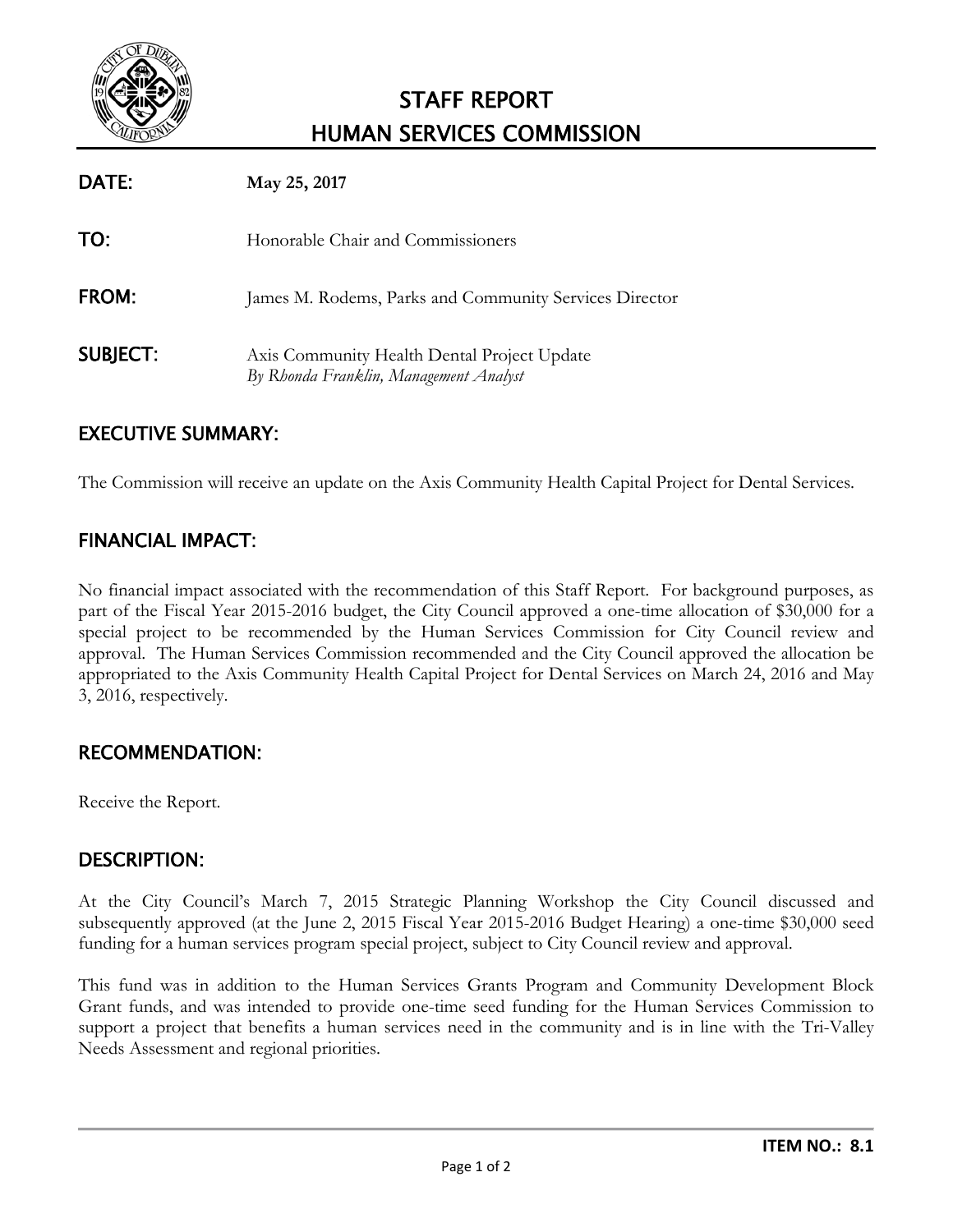

# STAFF REPORT HUMAN SERVICES COMMISSION

| DATE:           | May 25, 2017                                                                          |
|-----------------|---------------------------------------------------------------------------------------|
| TO:             | Honorable Chair and Commissioners                                                     |
| <b>FROM:</b>    | James M. Rodems, Parks and Community Services Director                                |
| <b>SUBJECT:</b> | Axis Community Health Dental Project Update<br>By Rhonda Franklin, Management Analyst |

# EXECUTIVE SUMMARY:

The Commission will receive an update on the Axis Community Health Capital Project for Dental Services.

# FINANCIAL IMPACT:

No financial impact associated with the recommendation of this Staff Report. For background purposes, as part of the Fiscal Year 2015-2016 budget, the City Council approved a one-time allocation of \$30,000 for a special project to be recommended by the Human Services Commission for City Council review and approval. The Human Services Commission recommended and the City Council approved the allocation be appropriated to the Axis Community Health Capital Project for Dental Services on March 24, 2016 and May 3, 2016, respectively.

# RECOMMENDATION:

Receive the Report.

# DESCRIPTION:

At the City Council's March 7, 2015 Strategic Planning Workshop the City Council discussed and subsequently approved (at the June 2, 2015 Fiscal Year 2015-2016 Budget Hearing) a one-time \$30,000 seed funding for a human services program special project, subject to City Council review and approval.

This fund was in addition to the Human Services Grants Program and Community Development Block Grant funds, and was intended to provide one-time seed funding for the Human Services Commission to support a project that benefits a human services need in the community and is in line with the Tri-Valley Needs Assessment and regional priorities.